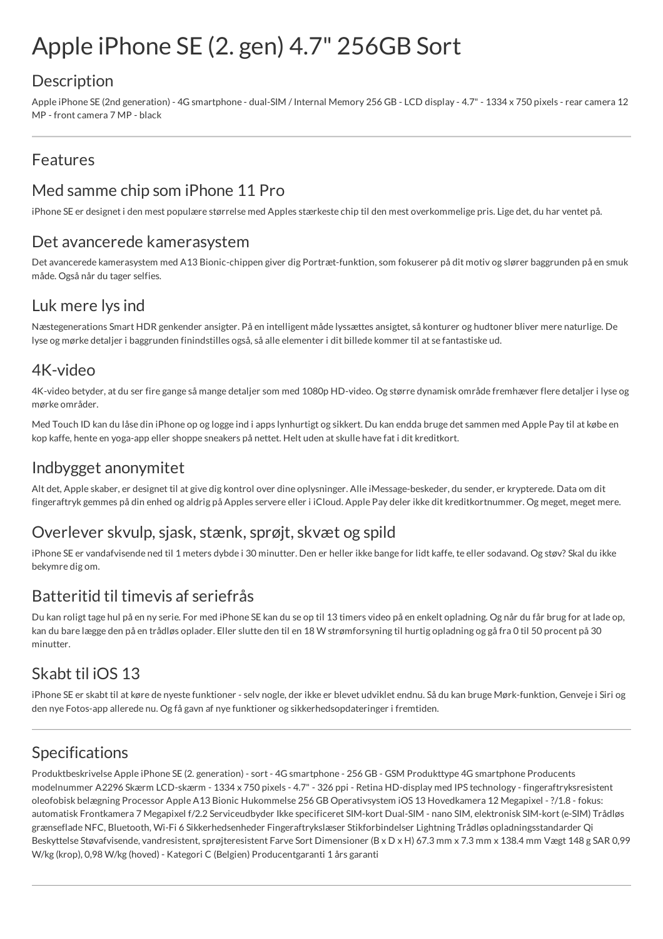# Apple iPhone SE (2. gen) 4.7" 256GB Sort

## **Description**

Apple iPhone SE (2nd generation) - 4G smartphone - dual-SIM / Internal Memory 256 GB - LCD display - 4.7" - 1334 x 750 pixels - rear camera 12 MP - front camera 7 MP - black

### Features

## Med samme chip som iPhone 11 Pro

iPhone SE er designet i den mest populære størrelse med Apples stærkeste chip til den mest overkommelige pris. Lige det, du har ventet på.

#### Det avancerede kamerasystem

Det avancerede kamerasystem med A13 Bionic-chippen giver dig Portræt-funktion, som fokuserer på dit motiv og slører baggrunden på en smuk måde. Også når du tager selfies.

# Luk mere lys ind

Næstegenerations Smart HDR genkender ansigter. På en intelligent måde lyssættes ansigtet, så konturer og hudtoner bliver mere naturlige. De lyse og mørke detaljer i baggrunden finindstilles også, så alle elementer i dit billede kommer til at se fantastiske ud.

#### 4K-video

4K-video betyder, at du ser fire gange så mange detaljer som med 1080p HD-video. Og større dynamisk område fremhæver flere detaljer i lyse og mørke områder.

Med Touch ID kan du låse din iPhone op og logge ind i apps lynhurtigt og sikkert. Du kan endda bruge det sammen med Apple Pay til at købe en kop kaffe, hente en yoga-app eller shoppe sneakers på nettet. Helt uden at skulle have fat i dit kreditkort.

#### Indbygget anonymitet

Alt det, Apple skaber, er designet til at give dig kontrol over dine oplysninger. Alle iMessage-beskeder, du sender, er krypterede. Data om dit fingeraftryk gemmes på din enhed og aldrig på Apples servere eller i iCloud. Apple Pay deler ikke dit kreditkortnummer. Og meget, meget mere.

# Overlever skvulp, sjask, stænk, sprøjt, skvæt og spild

iPhone SE er vandafvisende ned til 1 meters dybde i 30 minutter. Den er heller ikke bange for lidt kaffe, te eller sodavand. Og støv? Skal du ikke bekymre dig om.

## Batteritid til timevis af seriefrås

Du kan roligt tage hul på en ny serie. For med iPhone SE kan du se op til 13 timers video på en enkelt opladning. Og når du får brug for at lade op, kan du bare lægge den på en trådløs oplader. Eller slutte den til en 18 W strømforsyning til hurtig opladning og gå fra 0 til 50 procent på 30 minutter.

# Skabt til iOS 13

iPhone SE er skabt til at køre de nyeste funktioner - selv nogle, der ikke er blevet udviklet endnu. Så du kan bruge Mørk-funktion, Genveje i Siri og den nye Fotos-app allerede nu. Og få gavn af nye funktioner og sikkerhedsopdateringer i fremtiden.

## Specifications

Produktbeskrivelse Apple iPhone SE (2. generation) - sort - 4G smartphone - 256 GB - GSM Produkttype 4G smartphone Producents modelnummer A2296 Skærm LCD-skærm - 1334 x 750 pixels - 4.7" - 326 ppi - Retina HD-display med IPS technology - fingeraftryksresistent oleofobisk belægning Processor Apple A13 Bionic Hukommelse 256 GB Operativsystem iOS 13 Hovedkamera 12 Megapixel - ?/1.8 - fokus: automatisk Frontkamera 7 Megapixel f/2.2 Serviceudbyder Ikke specificeret SIM-kort Dual-SIM - nano SIM, elektronisk SIM-kort (e-SIM) Trådløs grænseflade NFC, Bluetooth, Wi-Fi 6 Sikkerhedsenheder Fingeraftrykslæser Stikforbindelser Lightning Trådløs opladningsstandarder Qi Beskyttelse Støvafvisende, vandresistent, sprøjteresistent Farve Sort Dimensioner (B x D x H) 67.3 mm x 7.3 mm x 138.4 mm Vægt 148 g SAR 0,99 W/kg (krop), 0,98 W/kg (hoved) - Kategori C (Belgien) Producentgaranti 1 års garanti